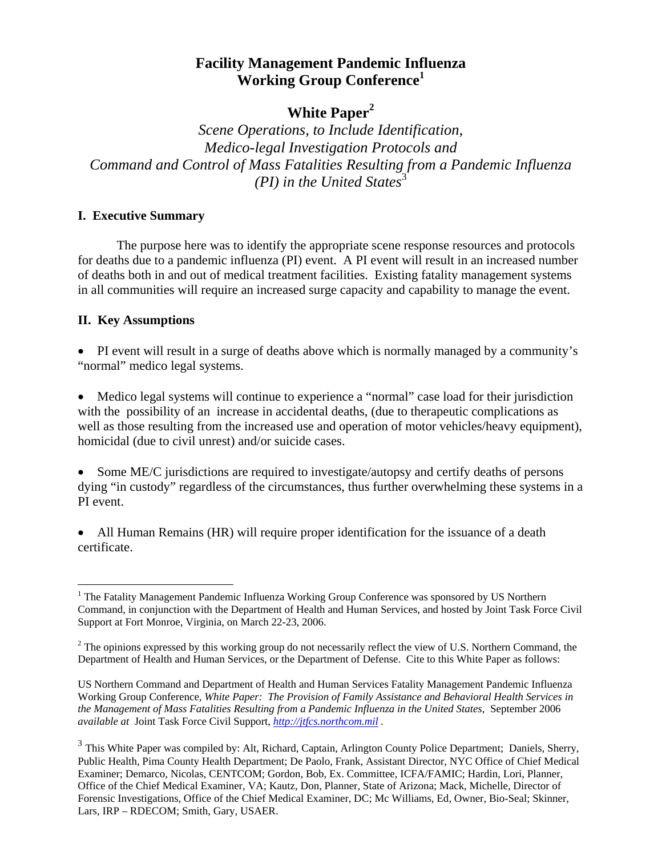# **White Paper[2](#page-0-1)**

*Scene Operations, to Include Identification, Medico-legal Investigation Protocols and Command and Control of Mass Fatalities Resulting from a Pandemic Influenza (PI) in the United States*<sup>[3](#page-0-2)</sup>

#### **I. Executive Summary**

 The purpose here was to identify the appropriate scene response resources and protocols for deaths due to a pandemic influenza (PI) event. A PI event will result in an increased number of deaths both in and out of medical treatment facilities. Existing fatality management systems in all communities will require an increased surge capacity and capability to manage the event.

#### **II. Key Assumptions**

 $\overline{a}$ 

• PI event will result in a surge of deaths above which is normally managed by a community's "normal" medico legal systems.

• Medico legal systems will continue to experience a "normal" case load for their jurisdiction with the possibility of an increase in accidental deaths, (due to therapeutic complications as well as those resulting from the increased use and operation of motor vehicles/heavy equipment), homicidal (due to civil unrest) and/or suicide cases.

• Some ME/C jurisdictions are required to investigate/autopsy and certify deaths of persons dying "in custody" regardless of the circumstances, thus further overwhelming these systems in a PI event.

• All Human Remains (HR) will require proper identification for the issuance of a death certificate.

<span id="page-0-0"></span><sup>&</sup>lt;sup>1</sup> The Fatality Management Pandemic Influenza Working Group Conference was sponsored by US Northern Command, in conjunction with the Department of Health and Human Services, and hosted by Joint Task Force Civil Support at Fort Monroe, Virginia, on March 22-23, 2006.

<span id="page-0-1"></span> $2^2$  The opinions expressed by this working group do not necessarily reflect the view of U.S. Northern Command, the Department of Health and Human Services, or the Department of Defense. Cite to this White Paper as follows:

US Northern Command and Department of Health and Human Services Fatality Management Pandemic Influenza Working Group Conference, *White Paper: The Provision of Family Assistance and Behavioral Health Services in the Management of Mass Fatalities Resulting from a Pandemic Influenza in the United States*, September 2006 *available at* Joint Task Force Civil Support, *[http://jtfcs.northcom.mil](http://jtfcs.northcom.mil/) .* 

<span id="page-0-2"></span><sup>&</sup>lt;sup>3</sup> This White Paper was compiled by: Alt, Richard, Captain, Arlington County Police Department; Daniels, Sherry, Public Health, Pima County Health Department; De Paolo, Frank, Assistant Director, NYC Office of Chief Medical Examiner; Demarco, Nicolas, CENTCOM; Gordon, Bob, Ex. Committee, ICFA/FAMIC; Hardin, Lori, Planner, Office of the Chief Medical Examiner, VA; Kautz, Don, Planner, State of Arizona; Mack, Michelle, Director of Forensic Investigations, Office of the Chief Medical Examiner, DC; Mc Williams, Ed, Owner, Bio-Seal; Skinner, Lars, IRP – RDECOM; Smith, Gary, USAER.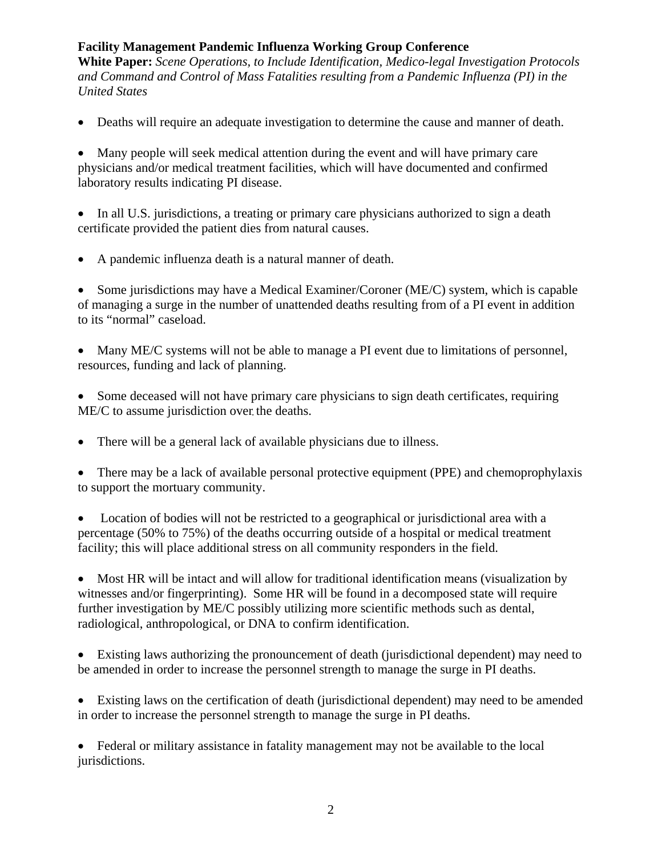**White Paper:** *Scene Operations, to Include Identification, Medico-legal Investigation Protocols and Command and Control of Mass Fatalities resulting from a Pandemic Influenza (PI) in the United States*

• Deaths will require an adequate investigation to determine the cause and manner of death.

• Many people will seek medical attention during the event and will have primary care physicians and/or medical treatment facilities, which will have documented and confirmed laboratory results indicating PI disease.

• In all U.S. jurisdictions, a treating or primary care physicians authorized to sign a death certificate provided the patient dies from natural causes.

• A pandemic influenza death is a natural manner of death.

• Some jurisdictions may have a Medical Examiner/Coroner (ME/C) system, which is capable of managing a surge in the number of unattended deaths resulting from of a PI event in addition to its "normal" caseload.

Many ME/C systems will not be able to manage a PI event due to limitations of personnel, resources, funding and lack of planning.

• Some deceased will not have primary care physicians to sign death certificates, requiring ME/C to assume jurisdiction over the deaths.

• There will be a general lack of available physicians due to illness.

• There may be a lack of available personal protective equipment (PPE) and chemoprophylaxis to support the mortuary community.

• Location of bodies will not be restricted to a geographical or jurisdictional area with a percentage (50% to 75%) of the deaths occurring outside of a hospital or medical treatment facility; this will place additional stress on all community responders in the field.

• Most HR will be intact and will allow for traditional identification means (visualization by witnesses and/or fingerprinting). Some HR will be found in a decomposed state will require further investigation by ME/C possibly utilizing more scientific methods such as dental, radiological, anthropological, or DNA to confirm identification.

• Existing laws authorizing the pronouncement of death (jurisdictional dependent) may need to be amended in order to increase the personnel strength to manage the surge in PI deaths.

• Existing laws on the certification of death (jurisdictional dependent) may need to be amended in order to increase the personnel strength to manage the surge in PI deaths.

• Federal or military assistance in fatality management may not be available to the local jurisdictions.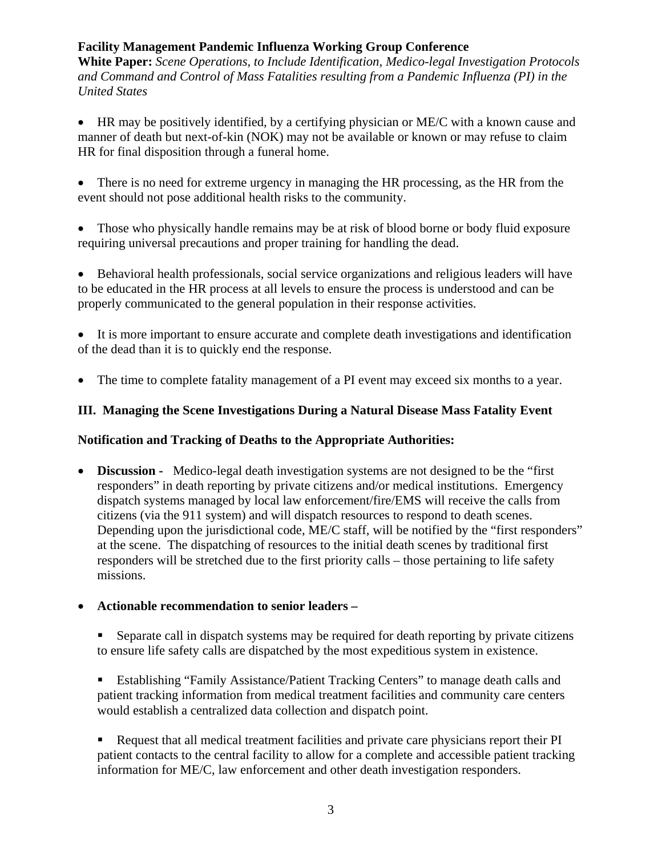**White Paper:** *Scene Operations, to Include Identification, Medico-legal Investigation Protocols and Command and Control of Mass Fatalities resulting from a Pandemic Influenza (PI) in the United States*

• HR may be positively identified, by a certifying physician or ME/C with a known cause and manner of death but next-of-kin (NOK) may not be available or known or may refuse to claim HR for final disposition through a funeral home.

• There is no need for extreme urgency in managing the HR processing, as the HR from the event should not pose additional health risks to the community.

• Those who physically handle remains may be at risk of blood borne or body fluid exposure requiring universal precautions and proper training for handling the dead.

• Behavioral health professionals, social service organizations and religious leaders will have to be educated in the HR process at all levels to ensure the process is understood and can be properly communicated to the general population in their response activities.

• It is more important to ensure accurate and complete death investigations and identification of the dead than it is to quickly end the response.

• The time to complete fatality management of a PI event may exceed six months to a year.

#### **III. Managing the Scene Investigations During a Natural Disease Mass Fatality Event**

#### **Notification and Tracking of Deaths to the Appropriate Authorities:**

• **Discussion** - Medico-legal death investigation systems are not designed to be the "first" responders" in death reporting by private citizens and/or medical institutions. Emergency dispatch systems managed by local law enforcement/fire/EMS will receive the calls from citizens (via the 911 system) and will dispatch resources to respond to death scenes. Depending upon the jurisdictional code, ME/C staff, will be notified by the "first responders" at the scene. The dispatching of resources to the initial death scenes by traditional first responders will be stretched due to the first priority calls – those pertaining to life safety missions.

#### • **Actionable recommendation to senior leaders –**

 Separate call in dispatch systems may be required for death reporting by private citizens to ensure life safety calls are dispatched by the most expeditious system in existence.

 Establishing "Family Assistance/Patient Tracking Centers" to manage death calls and patient tracking information from medical treatment facilities and community care centers would establish a centralized data collection and dispatch point.

 Request that all medical treatment facilities and private care physicians report their PI patient contacts to the central facility to allow for a complete and accessible patient tracking information for ME/C, law enforcement and other death investigation responders.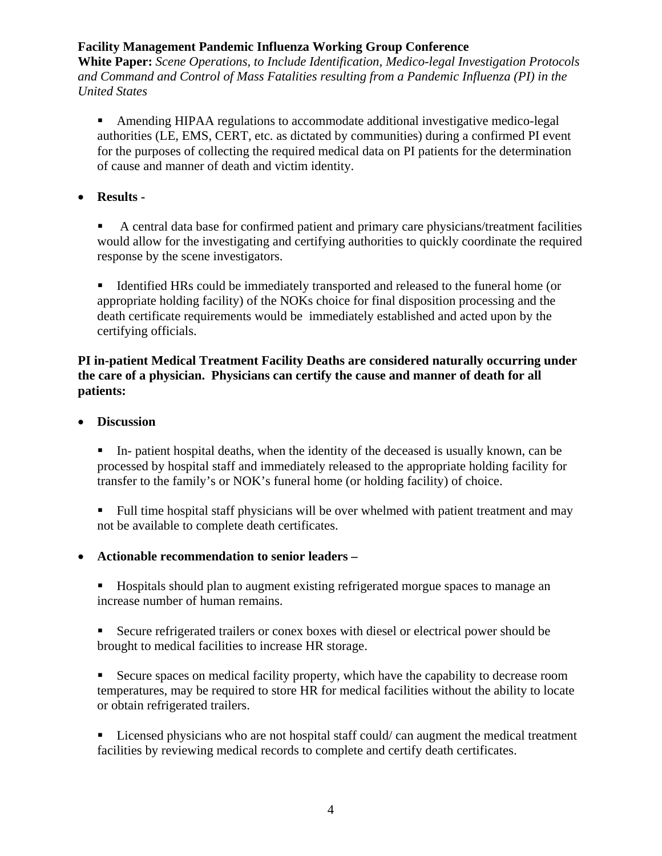**White Paper:** *Scene Operations, to Include Identification, Medico-legal Investigation Protocols and Command and Control of Mass Fatalities resulting from a Pandemic Influenza (PI) in the United States*

 Amending HIPAA regulations to accommodate additional investigative medico-legal authorities (LE, EMS, CERT, etc. as dictated by communities) during a confirmed PI event for the purposes of collecting the required medical data on PI patients for the determination of cause and manner of death and victim identity.

• **Results -** 

 A central data base for confirmed patient and primary care physicians/treatment facilities would allow for the investigating and certifying authorities to quickly coordinate the required response by the scene investigators.

Identified HRs could be immediately transported and released to the funeral home (or appropriate holding facility) of the NOKs choice for final disposition processing and the death certificate requirements would be immediately established and acted upon by the certifying officials.

### **PI in-patient Medical Treatment Facility Deaths are considered naturally occurring under the care of a physician. Physicians can certify the cause and manner of death for all patients:**

• **Discussion** 

 In- patient hospital deaths, when the identity of the deceased is usually known, can be processed by hospital staff and immediately released to the appropriate holding facility for transfer to the family's or NOK's funeral home (or holding facility) of choice.

Full time hospital staff physicians will be over whelmed with patient treatment and may not be available to complete death certificates.

• **Actionable recommendation to senior leaders –** 

 Hospitals should plan to augment existing refrigerated morgue spaces to manage an increase number of human remains.

 Secure refrigerated trailers or conex boxes with diesel or electrical power should be brought to medical facilities to increase HR storage.

 Secure spaces on medical facility property, which have the capability to decrease room temperatures, may be required to store HR for medical facilities without the ability to locate or obtain refrigerated trailers.

■ Licensed physicians who are not hospital staff could/ can augment the medical treatment facilities by reviewing medical records to complete and certify death certificates.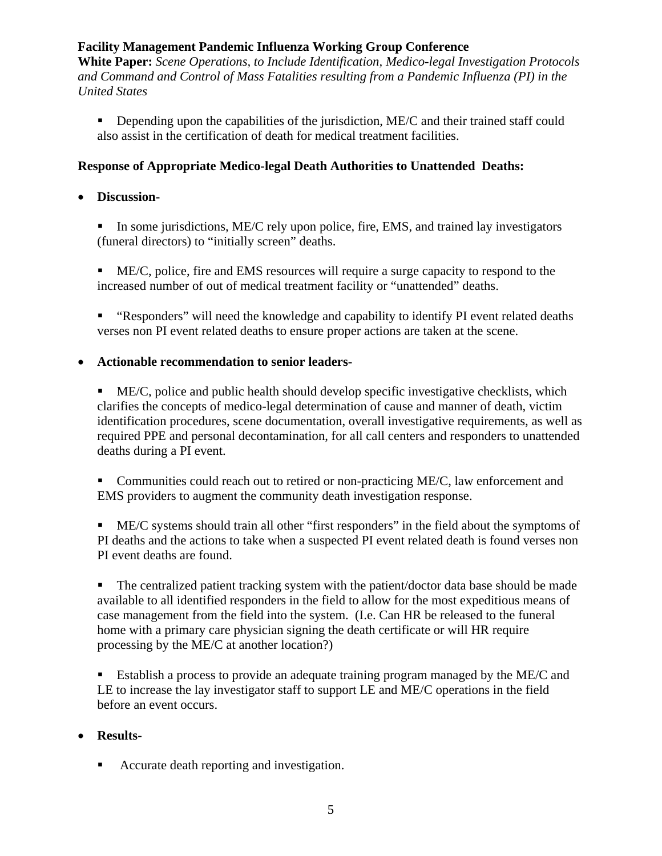**White Paper:** *Scene Operations, to Include Identification, Medico-legal Investigation Protocols and Command and Control of Mass Fatalities resulting from a Pandemic Influenza (PI) in the United States*

Depending upon the capabilities of the jurisdiction, ME/C and their trained staff could also assist in the certification of death for medical treatment facilities.

### **Response of Appropriate Medico-legal Death Authorities to Unattended Deaths:**

### • **Discussion-**

In some jurisdictions, ME/C rely upon police, fire, EMS, and trained lay investigators (funeral directors) to "initially screen" deaths.

- ME/C, police, fire and EMS resources will require a surge capacity to respond to the increased number of out of medical treatment facility or "unattended" deaths.
- "Responders" will need the knowledge and capability to identify PI event related deaths verses non PI event related deaths to ensure proper actions are taken at the scene.

#### • **Actionable recommendation to senior leaders-**

- $\blacksquare$  ME/C, police and public health should develop specific investigative checklists, which clarifies the concepts of medico-legal determination of cause and manner of death, victim identification procedures, scene documentation, overall investigative requirements, as well as required PPE and personal decontamination, for all call centers and responders to unattended deaths during a PI event.
- Communities could reach out to retired or non-practicing ME/C, law enforcement and EMS providers to augment the community death investigation response.

 ME/C systems should train all other "first responders" in the field about the symptoms of PI deaths and the actions to take when a suspected PI event related death is found verses non PI event deaths are found.

• The centralized patient tracking system with the patient/doctor data base should be made available to all identified responders in the field to allow for the most expeditious means of case management from the field into the system. (I.e. Can HR be released to the funeral home with a primary care physician signing the death certificate or will HR require processing by the ME/C at another location?)

 Establish a process to provide an adequate training program managed by the ME/C and LE to increase the lay investigator staff to support LE and ME/C operations in the field before an event occurs.

### • **Results-**

■ Accurate death reporting and investigation.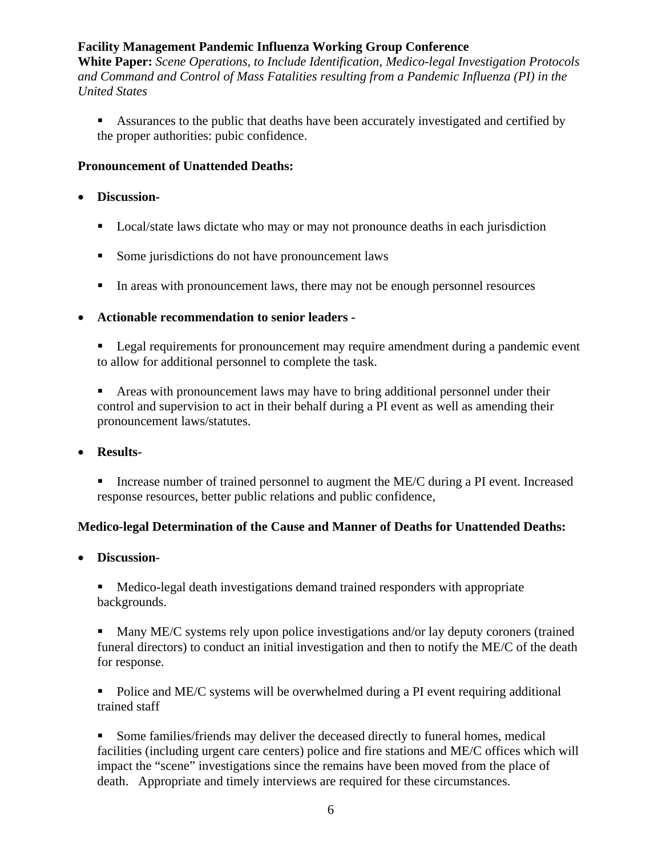**White Paper:** *Scene Operations, to Include Identification, Medico-legal Investigation Protocols and Command and Control of Mass Fatalities resulting from a Pandemic Influenza (PI) in the United States*

Assurances to the public that deaths have been accurately investigated and certified by the proper authorities: pubic confidence.

#### **Pronouncement of Unattended Deaths:**

#### • **Discussion-**

- **Local/state laws dictate who may or may not pronounce deaths in each jurisdiction**
- Some jurisdictions do not have pronouncement laws
- In areas with pronouncement laws, there may not be enough personnel resources

#### • **Actionable recommendation to senior leaders -**

**Legal requirements for pronouncement may require amendment during a pandemic event** to allow for additional personnel to complete the task.

 Areas with pronouncement laws may have to bring additional personnel under their control and supervision to act in their behalf during a PI event as well as amending their pronouncement laws/statutes.

- **Results-** 
	- Increase number of trained personnel to augment the ME/C during a PI event. Increased response resources, better public relations and public confidence,

### **Medico-legal Determination of the Cause and Manner of Deaths for Unattended Deaths:**

• **Discussion-** 

 Medico-legal death investigations demand trained responders with appropriate backgrounds.

• Many ME/C systems rely upon police investigations and/or lay deputy coroners (trained funeral directors) to conduct an initial investigation and then to notify the ME/C of the death for response.

• Police and ME/C systems will be overwhelmed during a PI event requiring additional trained staff

 Some families/friends may deliver the deceased directly to funeral homes, medical facilities (including urgent care centers) police and fire stations and ME/C offices which will impact the "scene" investigations since the remains have been moved from the place of death. Appropriate and timely interviews are required for these circumstances.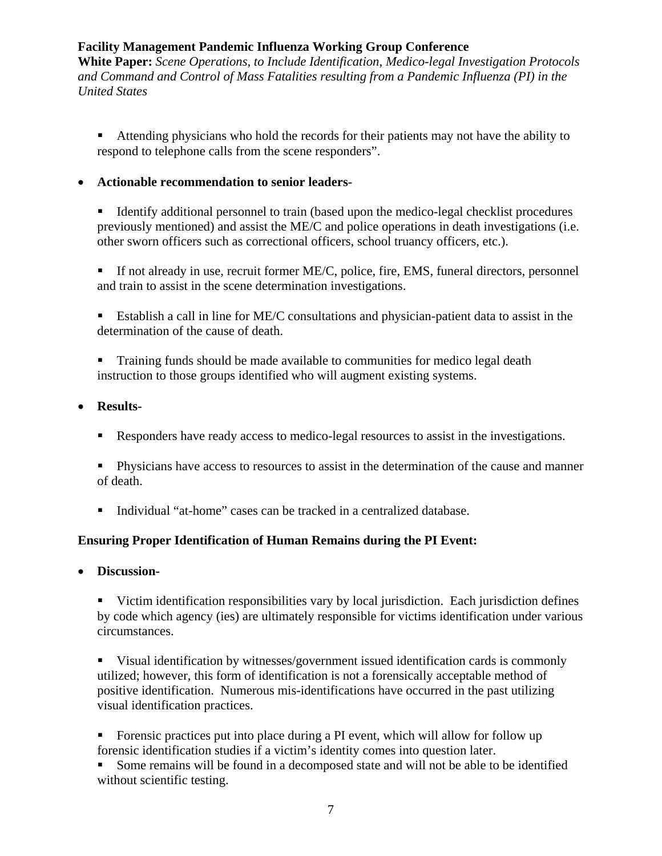**White Paper:** *Scene Operations, to Include Identification, Medico-legal Investigation Protocols and Command and Control of Mass Fatalities resulting from a Pandemic Influenza (PI) in the United States*

 Attending physicians who hold the records for their patients may not have the ability to respond to telephone calls from the scene responders".

#### • **Actionable recommendation to senior leaders-**

■ Identify additional personnel to train (based upon the medico-legal checklist procedures previously mentioned) and assist the ME/C and police operations in death investigations (i.e. other sworn officers such as correctional officers, school truancy officers, etc.).

 If not already in use, recruit former ME/C, police, fire, EMS, funeral directors, personnel and train to assist in the scene determination investigations.

 Establish a call in line for ME/C consultations and physician-patient data to assist in the determination of the cause of death.

**Training funds should be made available to communities for medico legal death** instruction to those groups identified who will augment existing systems.

#### • **Results-**

Responders have ready access to medico-legal resources to assist in the investigations.

 Physicians have access to resources to assist in the determination of the cause and manner of death.

■ Individual "at-home" cases can be tracked in a centralized database.

### **Ensuring Proper Identification of Human Remains during the PI Event:**

• **Discussion-** 

 Victim identification responsibilities vary by local jurisdiction. Each jurisdiction defines by code which agency (ies) are ultimately responsible for victims identification under various circumstances.

 Visual identification by witnesses/government issued identification cards is commonly utilized; however, this form of identification is not a forensically acceptable method of positive identification. Numerous mis-identifications have occurred in the past utilizing visual identification practices.

 Forensic practices put into place during a PI event, which will allow for follow up forensic identification studies if a victim's identity comes into question later.

 Some remains will be found in a decomposed state and will not be able to be identified without scientific testing.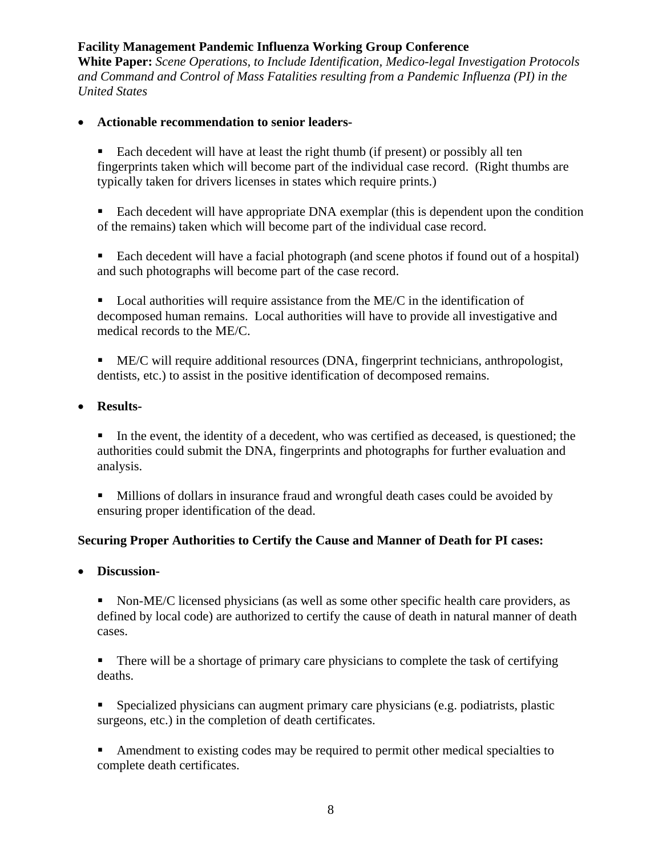**White Paper:** *Scene Operations, to Include Identification, Medico-legal Investigation Protocols and Command and Control of Mass Fatalities resulting from a Pandemic Influenza (PI) in the United States*

- **Actionable recommendation to senior leaders-** 
	- Each decedent will have at least the right thumb (if present) or possibly all ten fingerprints taken which will become part of the individual case record. (Right thumbs are typically taken for drivers licenses in states which require prints.)
	- Each decedent will have appropriate DNA exemplar (this is dependent upon the condition of the remains) taken which will become part of the individual case record.
	- Each decedent will have a facial photograph (and scene photos if found out of a hospital) and such photographs will become part of the case record.
	- **Local authorities will require assistance from the ME/C in the identification of** decomposed human remains. Local authorities will have to provide all investigative and medical records to the ME/C.
	- ME/C will require additional resources (DNA, fingerprint technicians, anthropologist, dentists, etc.) to assist in the positive identification of decomposed remains.
- **Results-** 
	- In the event, the identity of a decedent, who was certified as deceased, is questioned; the authorities could submit the DNA, fingerprints and photographs for further evaluation and analysis.
	- Millions of dollars in insurance fraud and wrongful death cases could be avoided by ensuring proper identification of the dead.

### **Securing Proper Authorities to Certify the Cause and Manner of Death for PI cases:**

- **Discussion-** 
	- Non-ME/C licensed physicians (as well as some other specific health care providers, as defined by local code) are authorized to certify the cause of death in natural manner of death cases.
	- There will be a shortage of primary care physicians to complete the task of certifying deaths.
	- Specialized physicians can augment primary care physicians (e.g. podiatrists, plastic surgeons, etc.) in the completion of death certificates.
	- Amendment to existing codes may be required to permit other medical specialties to complete death certificates.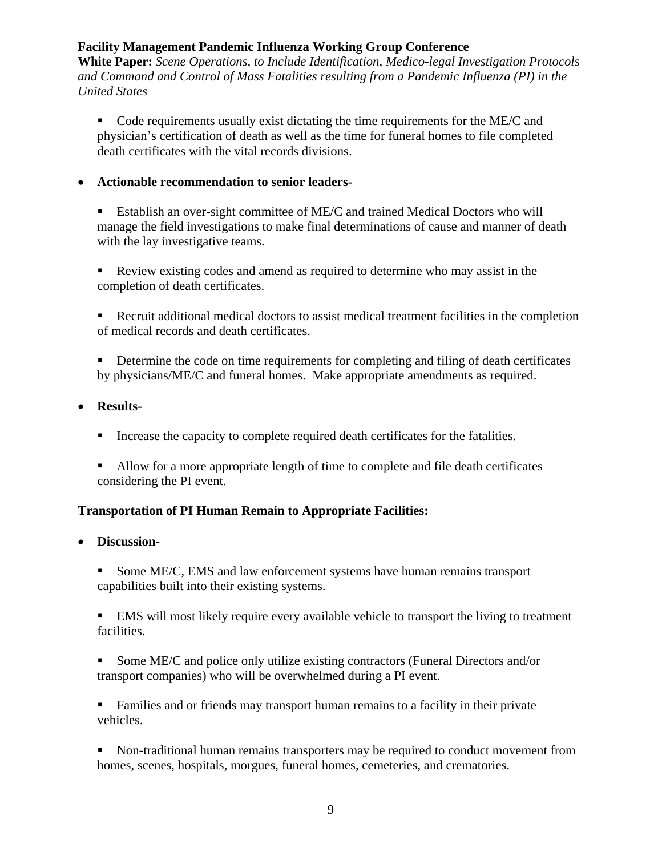**White Paper:** *Scene Operations, to Include Identification, Medico-legal Investigation Protocols and Command and Control of Mass Fatalities resulting from a Pandemic Influenza (PI) in the United States*

• Code requirements usually exist dictating the time requirements for the ME/C and physician's certification of death as well as the time for funeral homes to file completed death certificates with the vital records divisions.

• **Actionable recommendation to senior leaders-** 

 Establish an over-sight committee of ME/C and trained Medical Doctors who will manage the field investigations to make final determinations of cause and manner of death with the lay investigative teams.

 Review existing codes and amend as required to determine who may assist in the completion of death certificates.

 Recruit additional medical doctors to assist medical treatment facilities in the completion of medical records and death certificates.

Determine the code on time requirements for completing and filing of death certificates by physicians/ME/C and funeral homes. Make appropriate amendments as required.

- **Results-** 
	- Increase the capacity to complete required death certificates for the fatalities.
	- Allow for a more appropriate length of time to complete and file death certificates considering the PI event.

### **Transportation of PI Human Remain to Appropriate Facilities:**

- **Discussion-** 
	- Some ME/C, EMS and law enforcement systems have human remains transport capabilities built into their existing systems.

 EMS will most likely require every available vehicle to transport the living to treatment facilities.

Some ME/C and police only utilize existing contractors (Funeral Directors and/or transport companies) who will be overwhelmed during a PI event.

 Families and or friends may transport human remains to a facility in their private vehicles.

 Non-traditional human remains transporters may be required to conduct movement from homes, scenes, hospitals, morgues, funeral homes, cemeteries, and crematories.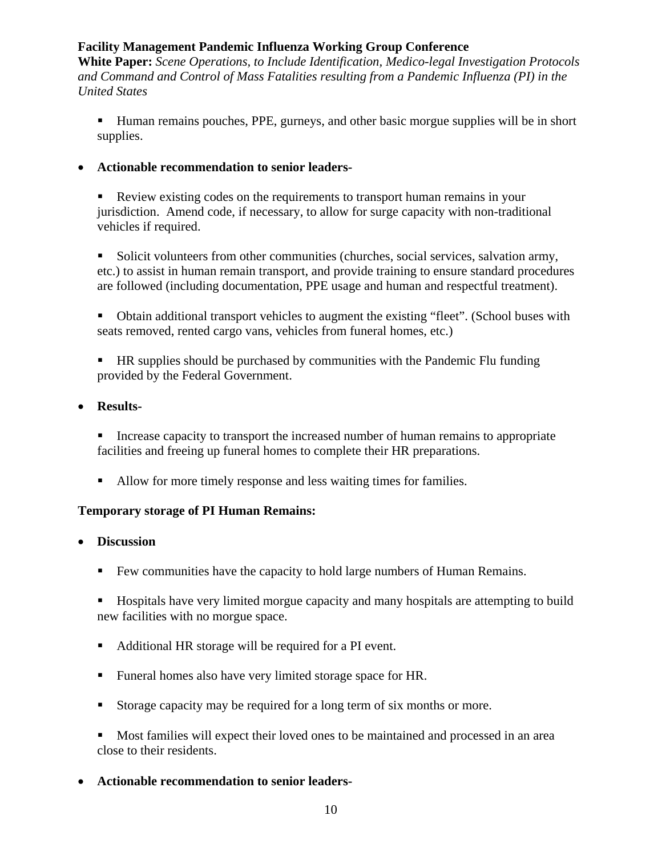**White Paper:** *Scene Operations, to Include Identification, Medico-legal Investigation Protocols and Command and Control of Mass Fatalities resulting from a Pandemic Influenza (PI) in the United States*

- Human remains pouches, PPE, gurneys, and other basic morgue supplies will be in short supplies.
- **Actionable recommendation to senior leaders-** 
	- Review existing codes on the requirements to transport human remains in your jurisdiction. Amend code, if necessary, to allow for surge capacity with non-traditional vehicles if required.

Solicit volunteers from other communities (churches, social services, salvation army, etc.) to assist in human remain transport, and provide training to ensure standard procedures are followed (including documentation, PPE usage and human and respectful treatment).

- Obtain additional transport vehicles to augment the existing "fleet". (School buses with seats removed, rented cargo vans, vehicles from funeral homes, etc.)
- **HR** supplies should be purchased by communities with the Pandemic Flu funding provided by the Federal Government.
- **Results-** 
	- Increase capacity to transport the increased number of human remains to appropriate facilities and freeing up funeral homes to complete their HR preparations.
	- Allow for more timely response and less waiting times for families.

### **Temporary storage of PI Human Remains:**

- **Discussion** 
	- Few communities have the capacity to hold large numbers of Human Remains.
	- Hospitals have very limited morgue capacity and many hospitals are attempting to build new facilities with no morgue space.
	- Additional HR storage will be required for a PI event.
	- Funeral homes also have very limited storage space for HR.
	- Storage capacity may be required for a long term of six months or more.
	- Most families will expect their loved ones to be maintained and processed in an area close to their residents.
- **Actionable recommendation to senior leaders-**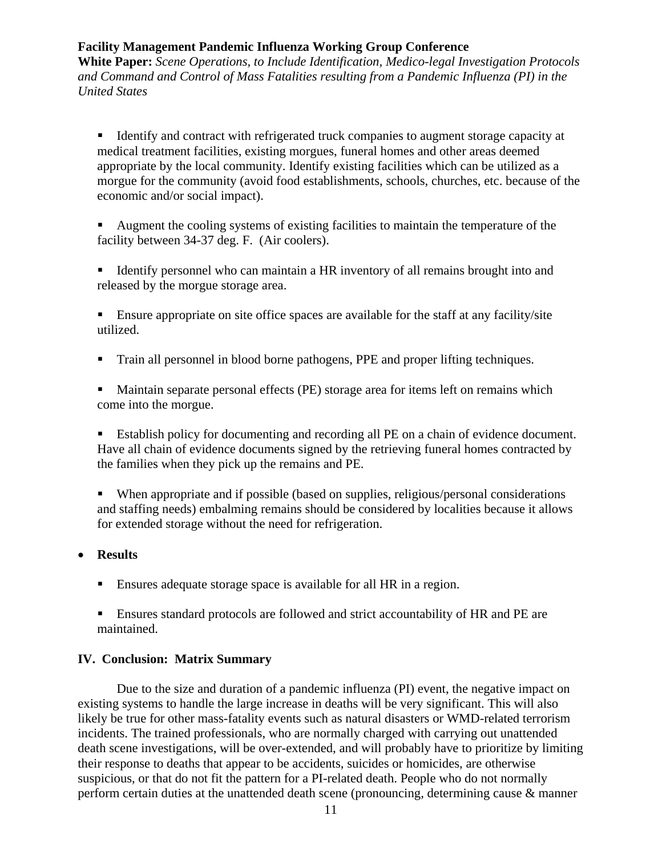**White Paper:** *Scene Operations, to Include Identification, Medico-legal Investigation Protocols and Command and Control of Mass Fatalities resulting from a Pandemic Influenza (PI) in the United States*

Identify and contract with refrigerated truck companies to augment storage capacity at medical treatment facilities, existing morgues, funeral homes and other areas deemed appropriate by the local community. Identify existing facilities which can be utilized as a morgue for the community (avoid food establishments, schools, churches, etc. because of the economic and/or social impact).

 Augment the cooling systems of existing facilities to maintain the temperature of the facility between 34-37 deg. F. (Air coolers).

Identify personnel who can maintain a HR inventory of all remains brought into and released by the morgue storage area.

 Ensure appropriate on site office spaces are available for the staff at any facility/site utilized.

Train all personnel in blood borne pathogens, PPE and proper lifting techniques.

 Maintain separate personal effects (PE) storage area for items left on remains which come into the morgue.

Establish policy for documenting and recording all PE on a chain of evidence document. Have all chain of evidence documents signed by the retrieving funeral homes contracted by the families when they pick up the remains and PE.

 When appropriate and if possible (based on supplies, religious/personal considerations and staffing needs) embalming remains should be considered by localities because it allows for extended storage without the need for refrigeration.

#### • **Results**

- Ensures adequate storage space is available for all HR in a region.
- Ensures standard protocols are followed and strict accountability of HR and PE are maintained.

#### **IV. Conclusion: Matrix Summary**

 Due to the size and duration of a pandemic influenza (PI) event, the negative impact on existing systems to handle the large increase in deaths will be very significant. This will also likely be true for other mass-fatality events such as natural disasters or WMD-related terrorism incidents. The trained professionals, who are normally charged with carrying out unattended death scene investigations, will be over-extended, and will probably have to prioritize by limiting their response to deaths that appear to be accidents, suicides or homicides, are otherwise suspicious, or that do not fit the pattern for a PI-related death. People who do not normally perform certain duties at the unattended death scene (pronouncing, determining cause & manner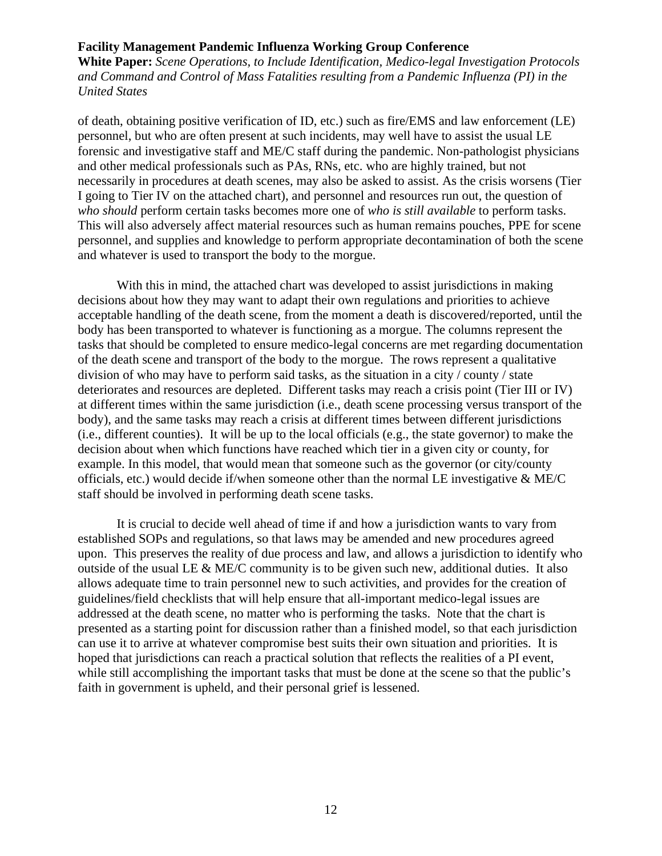**White Paper:** *Scene Operations, to Include Identification, Medico-legal Investigation Protocols and Command and Control of Mass Fatalities resulting from a Pandemic Influenza (PI) in the United States*

of death, obtaining positive verification of ID, etc.) such as fire/EMS and law enforcement (LE) personnel, but who are often present at such incidents, may well have to assist the usual LE forensic and investigative staff and ME/C staff during the pandemic. Non-pathologist physicians and other medical professionals such as PAs, RNs, etc. who are highly trained, but not necessarily in procedures at death scenes, may also be asked to assist. As the crisis worsens (Tier I going to Tier IV on the attached chart), and personnel and resources run out, the question of *who should* perform certain tasks becomes more one of *who is still available* to perform tasks. This will also adversely affect material resources such as human remains pouches, PPE for scene personnel, and supplies and knowledge to perform appropriate decontamination of both the scene and whatever is used to transport the body to the morgue.

 With this in mind, the attached chart was developed to assist jurisdictions in making decisions about how they may want to adapt their own regulations and priorities to achieve acceptable handling of the death scene, from the moment a death is discovered/reported, until the body has been transported to whatever is functioning as a morgue. The columns represent the tasks that should be completed to ensure medico-legal concerns are met regarding documentation of the death scene and transport of the body to the morgue. The rows represent a qualitative division of who may have to perform said tasks, as the situation in a city / county / state deteriorates and resources are depleted. Different tasks may reach a crisis point (Tier III or IV) at different times within the same jurisdiction (i.e., death scene processing versus transport of the body), and the same tasks may reach a crisis at different times between different jurisdictions (i.e., different counties). It will be up to the local officials (e.g., the state governor) to make the decision about when which functions have reached which tier in a given city or county, for example. In this model, that would mean that someone such as the governor (or city/county officials, etc.) would decide if/when someone other than the normal LE investigative & ME/C staff should be involved in performing death scene tasks.

 It is crucial to decide well ahead of time if and how a jurisdiction wants to vary from established SOPs and regulations, so that laws may be amended and new procedures agreed upon. This preserves the reality of due process and law, and allows a jurisdiction to identify who outside of the usual LE  $\&$  ME/C community is to be given such new, additional duties. It also allows adequate time to train personnel new to such activities, and provides for the creation of guidelines/field checklists that will help ensure that all-important medico-legal issues are addressed at the death scene, no matter who is performing the tasks. Note that the chart is presented as a starting point for discussion rather than a finished model, so that each jurisdiction can use it to arrive at whatever compromise best suits their own situation and priorities. It is hoped that jurisdictions can reach a practical solution that reflects the realities of a PI event, while still accomplishing the important tasks that must be done at the scene so that the public's faith in government is upheld, and their personal grief is lessened.